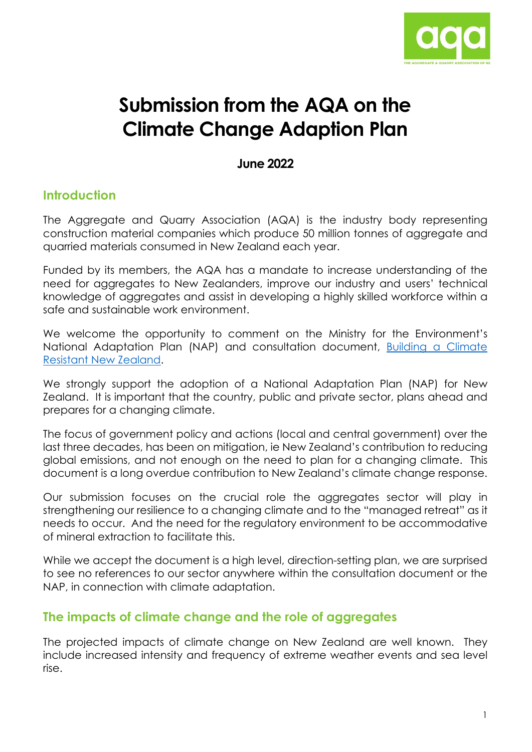

# **Submission from the AQA on the Climate Change Adaption Plan**

#### **June 2022**

## **Introduction**

The Aggregate and Quarry Association (AQA) is the industry body representing construction material companies which produce 50 million tonnes of aggregate and quarried materials consumed in New Zealand each year.

Funded by its members, the AQA has a mandate to increase understanding of the need for aggregates to New Zealanders, improve our industry and users' technical knowledge of aggregates and assist in developing a highly skilled workforce within a safe and sustainable work environment.

We welcome the opportunity to comment on the Ministry for the Environment's National Adaptation Plan (NAP) and consultation document, [Building a Climate](https://consult.environment.govt.nz/climate/national-adaptation-plan/)  [Resistant New Zealand.](https://consult.environment.govt.nz/climate/national-adaptation-plan/)

We strongly support the adoption of a National Adaptation Plan (NAP) for New Zealand. It is important that the country, public and private sector, plans ahead and prepares for a changing climate.

The focus of government policy and actions (local and central government) over the last three decades, has been on mitigation, ie New Zealand's contribution to reducing global emissions, and not enough on the need to plan for a changing climate. This document is a long overdue contribution to New Zealand's climate change response.

Our submission focuses on the crucial role the aggregates sector will play in strengthening our resilience to a changing climate and to the "managed retreat" as it needs to occur. And the need for the regulatory environment to be accommodative of mineral extraction to facilitate this.

While we accept the document is a high level, direction-setting plan, we are surprised to see no references to our sector anywhere within the consultation document or the NAP, in connection with climate adaptation.

## **The impacts of climate change and the role of aggregates**

The projected impacts of climate change on New Zealand are well known. They include increased intensity and frequency of extreme weather events and sea level rise.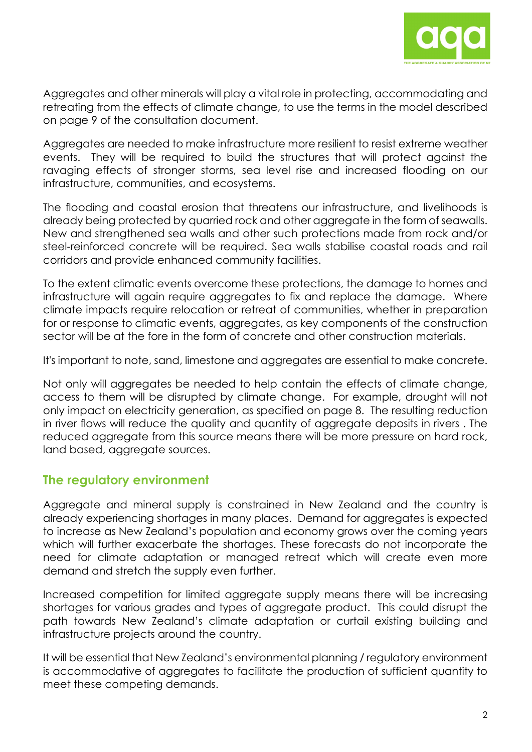

Aggregates and other minerals will play a vital role in protecting, accommodating and retreating from the effects of climate change, to use the terms in the model described on page 9 of the consultation document.

Aggregates are needed to make infrastructure more resilient to resist extreme weather events. They will be required to build the structures that will protect against the ravaging effects of stronger storms, sea level rise and increased flooding on our infrastructure, communities, and ecosystems.

The flooding and coastal erosion that threatens our infrastructure, and livelihoods is already being protected by quarried rock and other aggregate in the form of seawalls. New and strengthened sea walls and other such protections made from rock and/or steel-reinforced concrete will be required. Sea walls stabilise coastal roads and rail corridors and provide enhanced community facilities.

To the extent climatic events overcome these protections, the damage to homes and infrastructure will again require aggregates to fix and replace the damage. Where climate impacts require relocation or retreat of communities, whether in preparation for or response to climatic events, aggregates, as key components of the construction sector will be at the fore in the form of concrete and other construction materials.

It's important to note, sand, limestone and aggregates are essential to make concrete.

Not only will aggregates be needed to help contain the effects of climate change, access to them will be disrupted by climate change. For example, drought will not only impact on electricity generation, as specified on page 8. The resulting reduction in river flows will reduce the quality and quantity of aggregate deposits in rivers . The reduced aggregate from this source means there will be more pressure on hard rock, land based, aggregate sources.

## **The regulatory environment**

Aggregate and mineral supply is constrained in New Zealand and the country is already experiencing shortages in many places. Demand for aggregates is expected to increase as New Zealand's population and economy grows over the coming years which will further exacerbate the shortages. These forecasts do not incorporate the need for climate adaptation or managed retreat which will create even more demand and stretch the supply even further.

Increased competition for limited aggregate supply means there will be increasing shortages for various grades and types of aggregate product. This could disrupt the path towards New Zealand's climate adaptation or curtail existing building and infrastructure projects around the country.

It will be essential that New Zealand's environmental planning / regulatory environment is accommodative of aggregates to facilitate the production of sufficient quantity to meet these competing demands.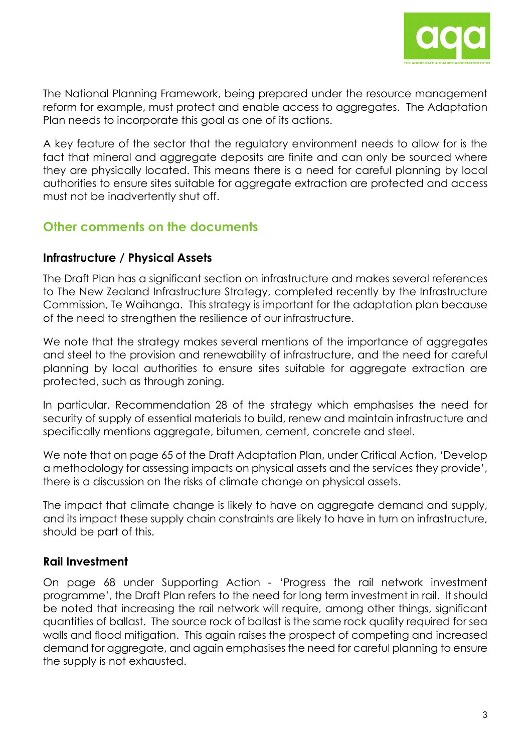

The National Planning Framework, being prepared under the resource management reform for example, must protect and enable access to aggregates. The Adaptation Plan needs to incorporate this goal as one of its actions.

A key feature of the sector that the regulatory environment needs to allow for is the fact that mineral and aggregate deposits are finite and can only be sourced where they are physically located. This means there is a need for careful planning by local authorities to ensure sites suitable for aggregate extraction are protected and access must not be inadvertently shut off.

## **Other comments on the documents**

#### **Infrastructure / Physical Assets**

The Draft Plan has a significant section on infrastructure and makes several references to The New Zealand Infrastructure Strategy, completed recently by the Infrastructure Commission, Te Waihanga. This strategy is important for the adaptation plan because of the need to strengthen the resilience of our infrastructure.

We note that the strategy makes several mentions of the importance of aggregates and steel to the provision and renewability of infrastructure, and the need for careful planning by local authorities to ensure sites suitable for aggregate extraction are protected, such as through zoning.

In particular, Recommendation 28 of the strategy which emphasises the need for security of supply of essential materials to build, renew and maintain infrastructure and specifically mentions aggregate, bitumen, cement, concrete and steel.

We note that on page 65 of the Draft Adaptation Plan, under Critical Action, 'Develop a methodology for assessing impacts on physical assets and the services they provide', there is a discussion on the risks of climate change on physical assets.

The impact that climate change is likely to have on aggregate demand and supply, and its impact these supply chain constraints are likely to have in turn on infrastructure, should be part of this.

## **Rail Investment**

On page 68 under Supporting Action - 'Progress the rail network investment programme', the Draft Plan refers to the need for long term investment in rail. It should be noted that increasing the rail network will require, among other things, significant quantities of ballast. The source rock of ballast is the same rock quality required for sea walls and flood mitigation. This again raises the prospect of competing and increased demand for aggregate, and again emphasises the need for careful planning to ensure the supply is not exhausted.